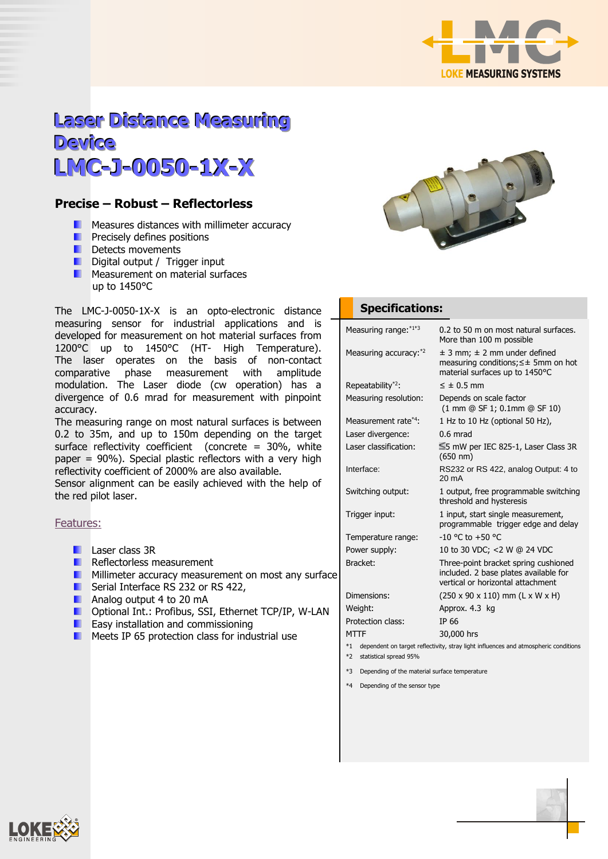

# **Laser Distance Measuring Device LMC-J-0050-1X-X**

## **Precise – Robust – Reflectorless**

- **Measures distances with millimeter accuracy**
- **Precisely defines positions**
- **Detects movements**
- **Digital output / Trigger input**
- **Measurement on material surfaces** up to 1450°C

The LMC-J-0050-1X-X is an opto-electronic distance measuring sensor for industrial applications and is developed for measurement on hot material surfaces from 1200°C up to 1450°C (HT- High Temperature). The laser operates on the basis of non-contact comparative phase measurement with amplitude modulation. The Laser diode (cw operation) has a divergence of 0.6 mrad for measurement with pinpoint accuracy.

The measuring range on most natural surfaces is between 0.2 to 35m, and up to 150m depending on the target surface reflectivity coefficient (concrete = 30%, white paper = 90%). Special plastic reflectors with a very high reflectivity coefficient of 2000% are also available.

Sensor alignment can be easily achieved with the help of the red pilot laser.

#### Features:

- **Laser class 3R**
- **Reflectorless measurement**
- **Millimeter accuracy measurement on most any surface**
- **Serial Interface RS 232 or RS 422,**
- **Analog output 4 to 20 mA**
- **D** Optional Int.: Profibus, SSI, Ethernet TCP/IP, W-LAN
- **EXECUTE:** Easy installation and commissioning
- **Meets IP 65 protection class for industrial use**



### **Specifications:**

| Measuring range: *1*3                                                                          | 0.2 to 50 m on most natural surfaces.<br>More than 100 m possible                                                     |  |  |
|------------------------------------------------------------------------------------------------|-----------------------------------------------------------------------------------------------------------------------|--|--|
| Measuring accuracy: *2                                                                         | $\pm$ 3 mm; $\pm$ 2 mm under defined<br>measuring conditions; $\leq \pm$ 5mm on hot<br>material surfaces up to 1450°C |  |  |
| Repeatability <sup>*2</sup> :                                                                  | $\leq \pm 0.5$ mm                                                                                                     |  |  |
| Measuring resolution:                                                                          | Depends on scale factor<br>(1 mm @ SF 1; 0.1mm @ SF 10)                                                               |  |  |
| Measurement rate*4:                                                                            | 1 Hz to 10 Hz (optional 50 Hz),                                                                                       |  |  |
| Laser divergence:                                                                              | $0.6$ mrad                                                                                                            |  |  |
| Laser classification:                                                                          | $\leq$ 5 mW per IEC 825-1, Laser Class 3R<br>$(650 \; nm)$                                                            |  |  |
| Interface:                                                                                     | RS232 or RS 422, analog Output: 4 to<br>$20 \text{ mA}$                                                               |  |  |
| Switching output:                                                                              | 1 output, free programmable switching<br>threshold and hysteresis                                                     |  |  |
| Trigger input:                                                                                 | 1 input, start single measurement,<br>programmable trigger edge and delay                                             |  |  |
| Temperature range:                                                                             | $-10$ °C to $+50$ °C                                                                                                  |  |  |
| Power supply:                                                                                  | 10 to 30 VDC; <2 W @ 24 VDC                                                                                           |  |  |
| Bracket:                                                                                       | Three-point bracket spring cushioned<br>included. 2 base plates available for<br>vertical or horizontal attachment    |  |  |
| Dimensions:                                                                                    | $(250 \times 90 \times 110)$ mm $(L \times W \times H)$                                                               |  |  |
| Weight:                                                                                        | Approx. 4.3 kg                                                                                                        |  |  |
| Protection class:                                                                              | TP 66                                                                                                                 |  |  |
| <b>MTTF</b>                                                                                    | 30,000 hrs                                                                                                            |  |  |
| dependent on target reflectivity, stray light influences and atmospheric conditions<br>$*_{1}$ |                                                                                                                       |  |  |
| $*7$ statistical envand $0.50$                                                                 |                                                                                                                       |  |  |

- \*2 statistical spread 95%
- \*3 Depending of the material surface temperature
- \*4 Depending of the sensor type